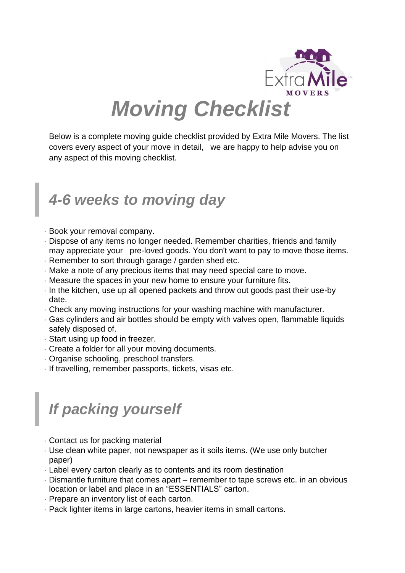

Below is a complete moving guide checklist provided by Extra Mile Movers. The list covers every aspect of your move in detail, we are happy to help advise you on any aspect of this moving checklist.

#### *4-6 weeks to moving day*

- Book your removal company.
- Dispose of any items no longer needed. Remember charities, friends and family may appreciate your pre-loved goods. You don't want to pay to move those items.
- Remember to sort through garage / garden shed etc.
- Make a note of any precious items that may need special care to move.
- Measure the spaces in your new home to ensure your furniture fits.
- $\cdot$  In the kitchen, use up all opened packets and throw out goods past their use-by date.
- Check any moving instructions for your washing machine with manufacturer.
- Gas cylinders and air bottles should be empty with valves open, flammable liquids safely disposed of.
- Start using up food in freezer.
- Create a folder for all your moving documents.
- Organise schooling, preschool transfers.
- If travelling, remember passports, tickets, visas etc.

#### *If packing yourself*

- Contact us for packing material
- Use clean white paper, not newspaper as it soils items. (We use only butcher paper)
- Label every carton clearly as to contents and its room destination
- Dismantle furniture that comes apart remember to tape screws etc. in an obvious location or label and place in an "ESSENTIALS" carton.
- Prepare an inventory list of each carton.
- Pack lighter items in large cartons, heavier items in small cartons.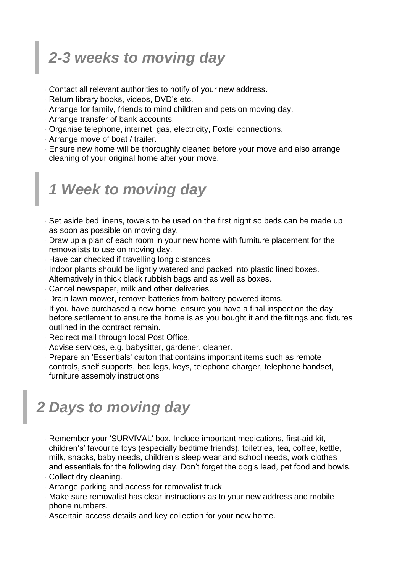## *2-3 weeks to moving day*

- Contact all relevant authorities to notify of your new address.
- Return library books, videos, DVD's etc.
- Arrange for family, friends to mind children and pets on moving day.
- Arrange transfer of bank accounts.
- Organise telephone, internet, gas, electricity, Foxtel connections.
- Arrange move of boat / trailer.
- Ensure new home will be thoroughly cleaned before your move and also arrange cleaning of your original home after your move.

#### *1 Week to moving day*

- Set aside bed linens, towels to be used on the first night so beds can be made up as soon as possible on moving day.
- Draw up a plan of each room in your new home with furniture placement for the removalists to use on moving day.
- Have car checked if travelling long distances.
- Indoor plants should be lightly watered and packed into plastic lined boxes. Alternatively in thick black rubbish bags and as well as boxes.
- Cancel newspaper, milk and other deliveries.
- Drain lawn mower, remove batteries from battery powered items.
- If you have purchased a new home, ensure you have a final inspection the day before settlement to ensure the home is as you bought it and the fittings and fixtures outlined in the contract remain.
- Redirect mail through local Post Office.
- Advise services, e.g. babysitter, gardener, cleaner.
- Prepare an 'Essentials' carton that contains important items such as remote controls, shelf supports, bed legs, keys, telephone charger, telephone handset, furniture assembly instructions

#### *2 Days to moving day*

- Remember your 'SURVIVAL' box. Include important medications, first-aid kit, children's' favourite toys (especially bedtime friends), toiletries, tea, coffee, kettle, milk, snacks, baby needs, children's sleep wear and school needs, work clothes and essentials for the following day. Don't forget the dog's lead, pet food and bowls.
- Collect dry cleaning.
- Arrange parking and access for removalist truck.
- Make sure removalist has clear instructions as to your new address and mobile phone numbers.
- Ascertain access details and key collection for your new home.